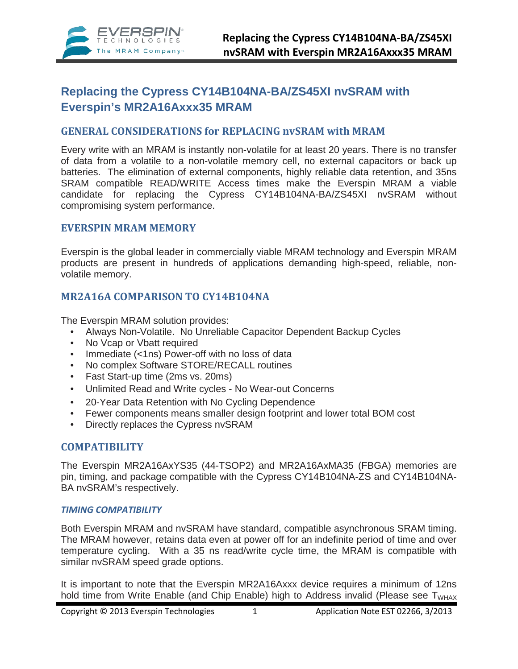

# **Replacing the Cypress CY14B104NA-BA/ZS45XI nvSRAM with Everspin's MR2A16Axxx35 MRAM**

## **GENERAL CONSIDERATIONS for REPLACING nvSRAM with MRAM**

Every write with an MRAM is instantly non-volatile for at least 20 years. There is no transfer of data from a volatile to a non-volatile memory cell, no external capacitors or back up batteries. The elimination of external components, highly reliable data retention, and 35ns SRAM compatible READ/WRITE Access times make the Everspin MRAM a viable candidate for replacing the Cypress CY14B104NA-BA/ZS45XI nvSRAM without compromising system performance.

## **EVERSPIN MRAM MEMORY**

Everspin is the global leader in commercially viable MRAM technology and Everspin MRAM products are present in hundreds of applications demanding high-speed, reliable, nonvolatile memory.

## **MR2A16A COMPARISON TO CY14B104NA**

The Everspin MRAM solution provides:

- Always Non-Volatile. No Unreliable Capacitor Dependent Backup Cycles
- No Vcap or Vbatt required
- Immediate (<1ns) Power-off with no loss of data
- No complex Software STORE/RECALL routines
- Fast Start-up time (2ms vs. 20ms)
- Unlimited Read and Write cycles No Wear-out Concerns
- 20-Year Data Retention with No Cycling Dependence
- Fewer components means smaller design footprint and lower total BOM cost
- Directly replaces the Cypress nvSRAM

## **COMPATIBILITY**

The Everspin MR2A16AxYS35 (44-TSOP2) and MR2A16AxMA35 (FBGA) memories are pin, timing, and package compatible with the Cypress CY14B104NA-ZS and CY14B104NA-BA nvSRAM's respectively.

## *TIMING COMPATIBILITY*

Both Everspin MRAM and nvSRAM have standard, compatible asynchronous SRAM timing. The MRAM however, retains data even at power off for an indefinite period of time and over temperature cycling. With a 35 ns read/write cycle time, the MRAM is compatible with similar nvSRAM speed grade options.

It is important to note that the Everspin MR2A16Axxx device requires a minimum of 12ns hold time from Write Enable (and Chip Enable) high to Address invalid (Please see  $T<sub>WHAX</sub>$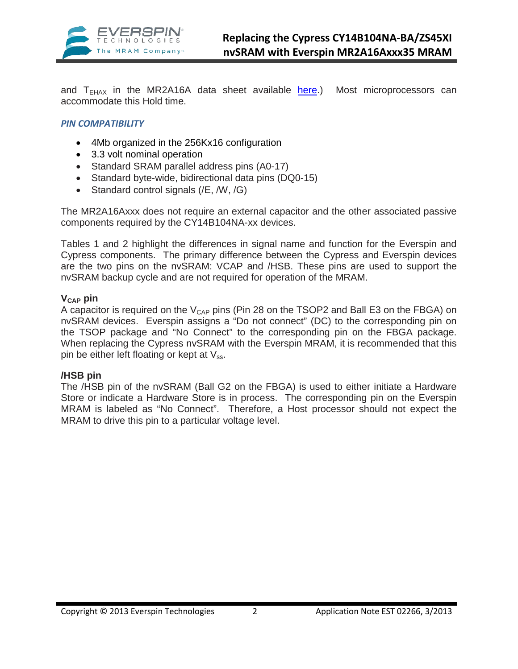

and  $T<sub>EHAX</sub>$  in the MR2A16A data sheet available [here.](http://www.everspin.com/PDF/EST_MR2A08A_prod.pdf)) Most microprocessors can accommodate this Hold time.

## *PIN COMPATIBILITY*

- 4Mb organized in the 256Kx16 configuration
- 3.3 volt nominal operation
- Standard SRAM parallel address pins (A0-17)
- Standard byte-wide, bidirectional data pins (DQ0-15)
- Standard control signals (/E, /W, /G)

The MR2A16Axxx does not require an external capacitor and the other associated passive components required by the CY14B104NA-xx devices.

Tables 1 and 2 highlight the differences in signal name and function for the Everspin and Cypress components. The primary difference between the Cypress and Everspin devices are the two pins on the nvSRAM: VCAP and /HSB. These pins are used to support the nvSRAM backup cycle and are not required for operation of the MRAM.

### **VCAP pin**

A capacitor is required on the  $V_{CAP}$  pins (Pin 28 on the TSOP2 and Ball E3 on the FBGA) on nvSRAM devices. Everspin assigns a "Do not connect" (DC) to the corresponding pin on the TSOP package and "No Connect" to the corresponding pin on the FBGA package. When replacing the Cypress nvSRAM with the Everspin MRAM, it is recommended that this pin be either left floating or kept at  $V_{ss}$ .

## **/HSB pin**

The /HSB pin of the nvSRAM (Ball G2 on the FBGA) is used to either initiate a Hardware Store or indicate a Hardware Store is in process. The corresponding pin on the Everspin MRAM is labeled as "No Connect". Therefore, a Host processor should not expect the MRAM to drive this pin to a particular voltage level.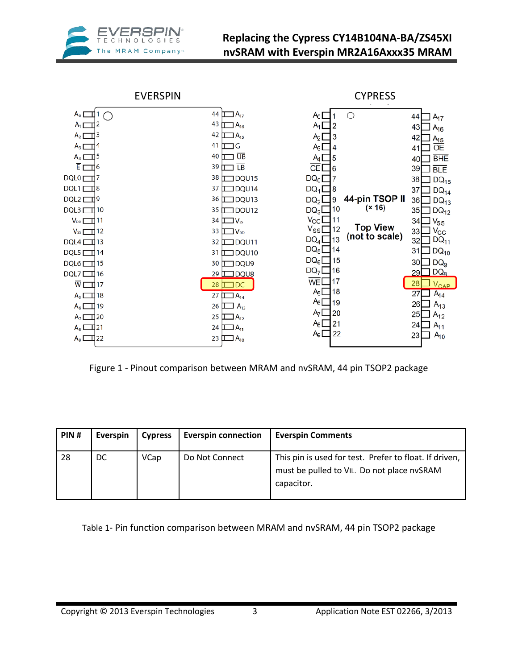



Figure 1 - Pinout comparison between MRAM and nvSRAM, 44 pin TSOP2 package

| PIN# | Everspin | <b>Cypress</b> | <b>Everspin connection</b> | <b>Everspin Comments</b>                                                                                           |
|------|----------|----------------|----------------------------|--------------------------------------------------------------------------------------------------------------------|
| 28   | DC.      | <b>VCap</b>    | Do Not Connect             | This pin is used for test. Prefer to float. If driven,<br>must be pulled to VIL. Do not place nvSRAM<br>capacitor. |

Table 1- Pin function comparison between MRAM and nvSRAM, 44 pin TSOP2 package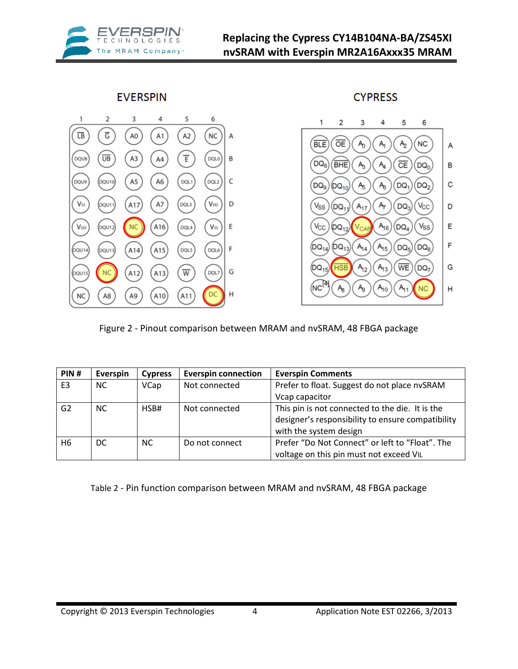

**CYPRESS** 

Α

В

С

D

Ε

F

G

Н

**EVERSPIN** 



Figure 2 - Pinout comparison between MRAM and nvSRAM, 48 FBGA package

| PIN#           | Everspin | <b>Cypress</b> | <b>Everspin connection</b> | <b>Everspin Comments</b>                                                                             |
|----------------|----------|----------------|----------------------------|------------------------------------------------------------------------------------------------------|
| E <sub>3</sub> | NC.      | <b>VCap</b>    | Not connected              | Prefer to float. Suggest do not place nvSRAM                                                         |
|                |          |                |                            | Vcap capacitor                                                                                       |
| G <sub>2</sub> | NC.      | HSB#           | Not connected              | This pin is not connected to the die. It is the<br>designer's responsibility to ensure compatibility |
|                |          |                |                            | with the system design                                                                               |
| H6             | DC       | <b>NC</b>      | Do not connect             | Prefer "Do Not Connect" or left to "Float". The                                                      |
|                |          |                |                            | voltage on this pin must not exceed VIL                                                              |

Table 2 - Pin function comparison between MRAM and nvSRAM, 48 FBGA package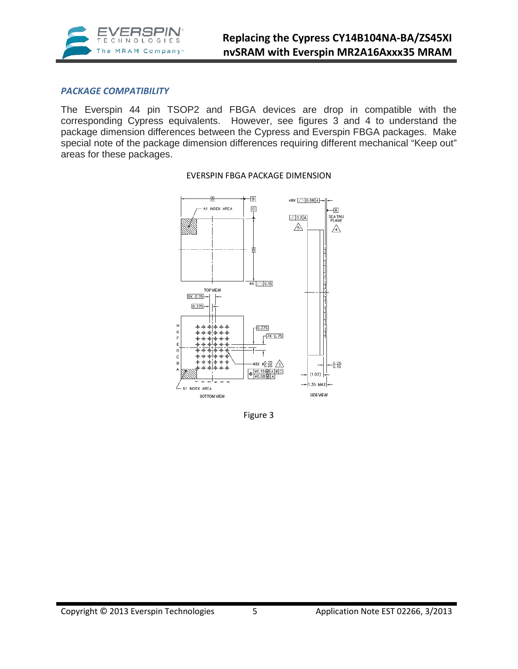

## *PACKAGE COMPATIBILITY*

The Everspin 44 pin TSOP2 and FBGA devices are drop in compatible with the corresponding Cypress equivalents. However, see figures 3 and 4 to understand the package dimension differences between the Cypress and Everspin FBGA packages. Make special note of the package dimension differences requiring different mechanical "Keep out" areas for these packages.



#### EVERSPIN FBGA PACKAGE DIMENSION

Figure 3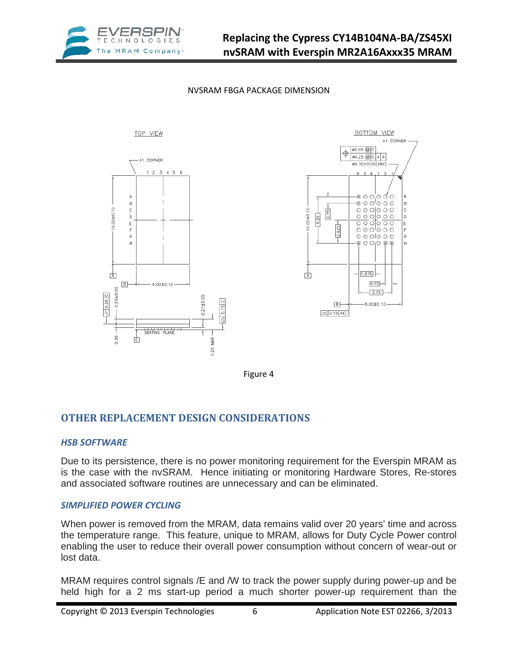







Figure 4

## **OTHER REPLACEMENT DESIGN CONSIDERATIONS**

## *HSB SOFTWARE*

Due to its persistence, there is no power monitoring requirement for the Everspin MRAM as is the case with the nvSRAM. Hence initiating or monitoring Hardware Stores, Re-stores and associated software routines are unnecessary and can be eliminated.

## *SIMPLIFIED POWER CYCLING*

When power is removed from the MRAM, data remains valid over 20 years' time and across the temperature range. This feature, unique to MRAM, allows for Duty Cycle Power control enabling the user to reduce their overall power consumption without concern of wear-out or lost data.

MRAM requires control signals /E and /W to track the power supply during power-up and be held high for a 2 ms start-up period a much shorter power-up requirement than the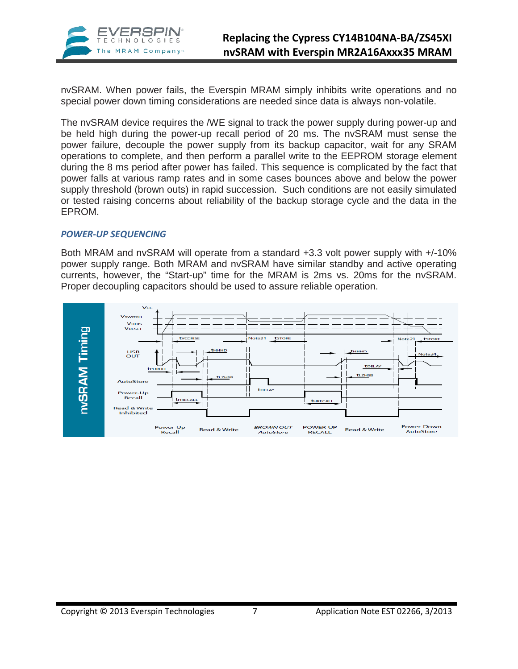

nvSRAM. When power fails, the Everspin MRAM simply inhibits write operations and no special power down timing considerations are needed since data is always non-volatile.

The nvSRAM device requires the /WE signal to track the power supply during power-up and be held high during the power-up recall period of 20 ms. The nvSRAM must sense the power failure, decouple the power supply from its backup capacitor, wait for any SRAM operations to complete, and then perform a parallel write to the EEPROM storage element during the 8 ms period after power has failed. This sequence is complicated by the fact that power falls at various ramp rates and in some cases bounces above and below the power supply threshold (brown outs) in rapid succession. Such conditions are not easily simulated or tested raising concerns about reliability of the backup storage cycle and the data in the EPROM.

### *POWER-UP SEQUENCING*

Both MRAM and nvSRAM will operate from a standard +3.3 volt power supply with +/-10% power supply range. Both MRAM and nvSRAM have similar standby and active operating currents, however, the "Start-up" time for the MRAM is 2ms vs. 20ms for the nvSRAM. Proper decoupling capacitors should be used to assure reliable operation.

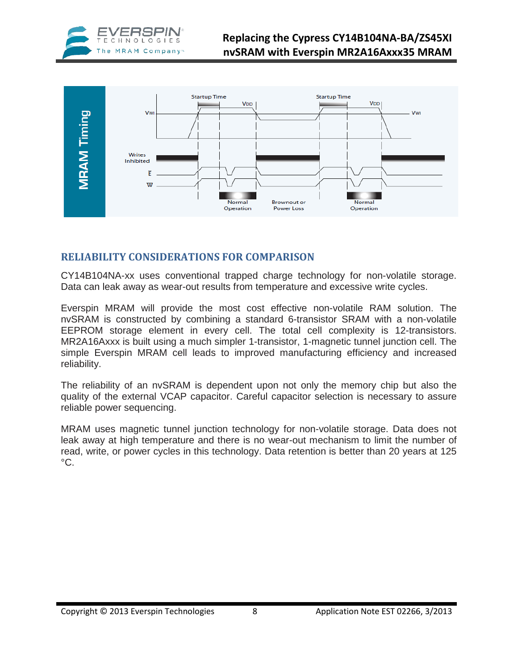



## **RELIABILITY CONSIDERATIONS FOR COMPARISON**

CY14B104NA-xx uses conventional trapped charge technology for non-volatile storage. Data can leak away as wear-out results from temperature and excessive write cycles.

Everspin MRAM will provide the most cost effective non-volatile RAM solution. The nvSRAM is constructed by combining a standard 6-transistor SRAM with a non-volatile EEPROM storage element in every cell. The total cell complexity is 12-transistors. MR2A16Axxx is built using a much simpler 1-transistor, 1-magnetic tunnel junction cell. The simple Everspin MRAM cell leads to improved manufacturing efficiency and increased reliability.

The reliability of an nvSRAM is dependent upon not only the memory chip but also the quality of the external VCAP capacitor. Careful capacitor selection is necessary to assure reliable power sequencing.

MRAM uses magnetic tunnel junction technology for non-volatile storage. Data does not leak away at high temperature and there is no wear-out mechanism to limit the number of read, write, or power cycles in this technology. Data retention is better than 20 years at 125  $^{\circ}C$ .